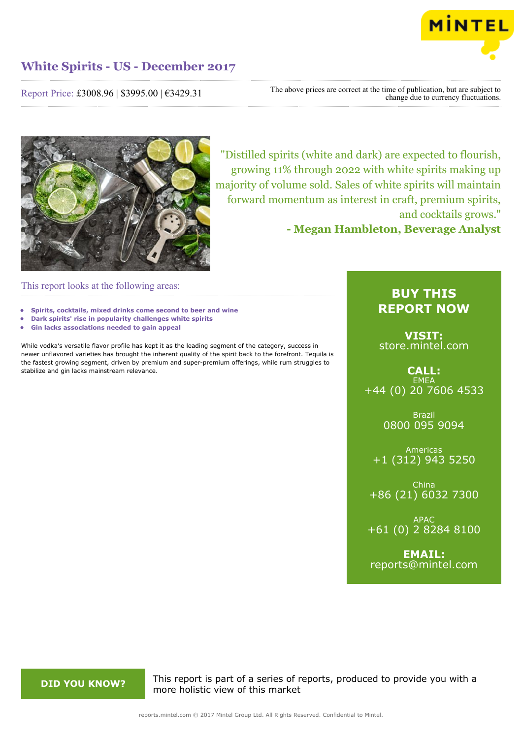

Report Price: £3008.96 | \$3995.00 | €3429.31

The above prices are correct at the time of publication, but are subject to change due to currency fluctuations.



"Distilled spirits (white and dark) are expected to flourish, growing 11% through 2022 with white spirits making up majority of volume sold. Sales of white spirits will maintain forward momentum as interest in craft, premium spirits, and cocktails grows."

**- Megan Hambleton, Beverage Analyst**

This report looks at the following areas:

- **• Spirits, cocktails, mixed drinks come second to beer and wine**
- **• Dark spirits' rise in popularity challenges white spirits**
- **• Gin lacks associations needed to gain appeal**

While vodka's versatile flavor profile has kept it as the leading segment of the category, success in newer unflavored varieties has brought the inherent quality of the spirit back to the forefront. Tequila is the fastest growing segment, driven by premium and super-premium offerings, while rum struggles to stabilize and gin lacks mainstream relevance.

## **BUY THIS REPORT NOW**

**VISIT:** [store.mintel.com](http://reports.mintel.com//display/store/797631/)

**CALL: EMEA** +44 (0) 20 7606 4533

> Brazil 0800 095 9094

Americas +1 (312) 943 5250

China +86 (21) 6032 7300

APAC +61 (0) 2 8284 8100

**EMAIL:** [reports@mintel.com](mailto:reports@mintel.com)

**DID YOU KNOW?** This report is part of a series of reports, produced to provide you with a more holistic view of this market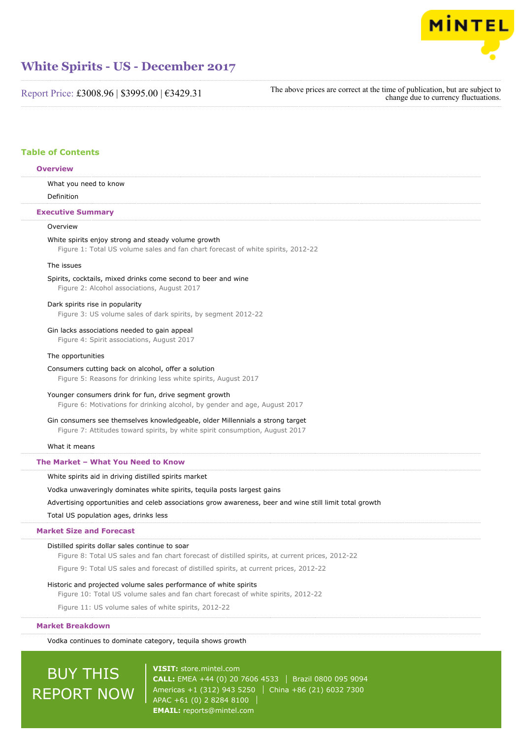

Report Price: £3008.96 | \$3995.00 | €3429.31

The above prices are correct at the time of publication, but are subject to change due to currency fluctuations.

## **Table of Contents**

| <b>Overview</b>                                                                                                                                               |  |
|---------------------------------------------------------------------------------------------------------------------------------------------------------------|--|
| What you need to know                                                                                                                                         |  |
| Definition                                                                                                                                                    |  |
| <b>Executive Summary</b>                                                                                                                                      |  |
| Overview                                                                                                                                                      |  |
| White spirits enjoy strong and steady volume growth<br>Figure 1: Total US volume sales and fan chart forecast of white spirits, 2012-22                       |  |
| The issues                                                                                                                                                    |  |
| Spirits, cocktails, mixed drinks come second to beer and wine<br>Figure 2: Alcohol associations, August 2017                                                  |  |
| Dark spirits rise in popularity<br>Figure 3: US volume sales of dark spirits, by segment 2012-22                                                              |  |
| Gin lacks associations needed to gain appeal<br>Figure 4: Spirit associations, August 2017                                                                    |  |
| The opportunities                                                                                                                                             |  |
| Consumers cutting back on alcohol, offer a solution<br>Figure 5: Reasons for drinking less white spirits, August 2017                                         |  |
| Younger consumers drink for fun, drive segment growth<br>Figure 6: Motivations for drinking alcohol, by gender and age, August 2017                           |  |
| Gin consumers see themselves knowledgeable, older Millennials a strong target<br>Figure 7: Attitudes toward spirits, by white spirit consumption, August 2017 |  |
| What it means                                                                                                                                                 |  |
| The Market - What You Need to Know                                                                                                                            |  |
| White spirits aid in driving distilled spirits market                                                                                                         |  |
| Vodka unwaveringly dominates white spirits, tequila posts largest gains                                                                                       |  |
| Advertising opportunities and celeb associations grow awareness, beer and wine still limit total growth                                                       |  |
| Total US population ages, drinks less                                                                                                                         |  |
| <b>Market Size and Forecast</b>                                                                                                                               |  |
| Distilled spirits dollar sales continue to soar<br>Figure 8: Total US sales and fan chart forecast of distilled spirits, at current prices, 2012-22           |  |
| Figure 9: Total US sales and forecast of distilled spirits, at current prices, 2012-22                                                                        |  |
| Historic and projected volume sales performance of white spirits<br>Figure 10: Total US volume sales and fan chart forecast of white spirits, 2012-22         |  |
| Figure 11: US volume sales of white spirits, 2012-22                                                                                                          |  |

## **Market Breakdown**

Vodka continues to dominate category, tequila shows growth

# **BUY THIS** REPORT NOW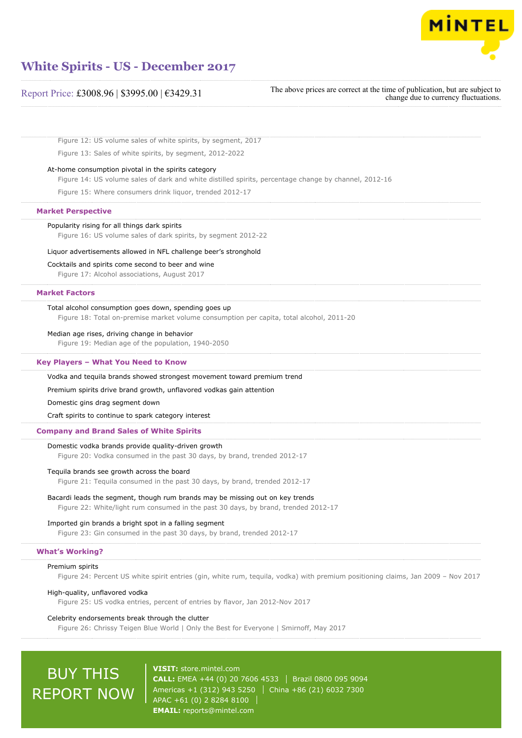

| Report Price: £3008.96   \$3995.00   €3429.31 |  |  |  |
|-----------------------------------------------|--|--|--|
|-----------------------------------------------|--|--|--|

The above prices are correct at the time of publication, but are subject to change due to currency fluctuations.

Figure 12: US volume sales of white spirits, by segment, 2017

Figure 13: Sales of white spirits, by segment, 2012-2022

## At-home consumption pivotal in the spirits category

Figure 14: US volume sales of dark and white distilled spirits, percentage change by channel, 2012-16

Figure 15: Where consumers drink liquor, trended 2012-17

#### **Market Perspective**

## Popularity rising for all things dark spirits

Figure 16: US volume sales of dark spirits, by segment 2012-22

#### Liquor advertisements allowed in NFL challenge beer's stronghold

Cocktails and spirits come second to beer and wine

Figure 17: Alcohol associations, August 2017

## **Market Factors**

## Total alcohol consumption goes down, spending goes up

Figure 18: Total on-premise market volume consumption per capita, total alcohol, 2011-20

#### Median age rises, driving change in behavior

Figure 19: Median age of the population, 1940-2050

## **Key Players – What You Need to Know**

Vodka and tequila brands showed strongest movement toward premium trend

Premium spirits drive brand growth, unflavored vodkas gain attention

### Domestic gins drag segment down

Craft spirits to continue to spark category interest

## **Company and Brand Sales of White Spirits**

## Domestic vodka brands provide quality-driven growth

Figure 20: Vodka consumed in the past 30 days, by brand, trended 2012-17

#### Tequila brands see growth across the board

Figure 21: Tequila consumed in the past 30 days, by brand, trended 2012-17

## Bacardi leads the segment, though rum brands may be missing out on key trends

Figure 22: White/light rum consumed in the past 30 days, by brand, trended 2012-17

## Imported gin brands a bright spot in a falling segment

Figure 23: Gin consumed in the past 30 days, by brand, trended 2012-17

### **What's Working?**

#### Premium spirits

Figure 24: Percent US white spirit entries (gin, white rum, tequila, vodka) with premium positioning claims, Jan 2009 – Nov 2017

## High-quality, unflavored vodka

Figure 25: US vodka entries, percent of entries by flavor, Jan 2012-Nov 2017

## Celebrity endorsements break through the clutter

Figure 26: Chrissy Teigen Blue World | Only the Best for Everyone | Smirnoff, May 2017

# BUY THIS REPORT NOW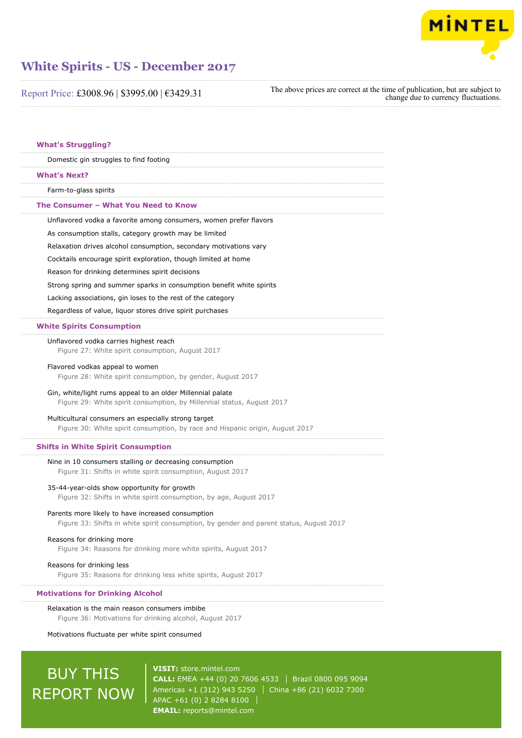

Report Price: £3008.96 | \$3995.00 | €3429.31

The above prices are correct at the time of publication, but are subject to change due to currency fluctuations.

| <b>What's Struggling?</b>                                                                                                                                     |
|---------------------------------------------------------------------------------------------------------------------------------------------------------------|
| Domestic gin struggles to find footing                                                                                                                        |
| <b>What's Next?</b>                                                                                                                                           |
| Farm-to-glass spirits                                                                                                                                         |
| The Consumer - What You Need to Know                                                                                                                          |
| Unflavored vodka a favorite among consumers, women prefer flavors                                                                                             |
| As consumption stalls, category growth may be limited                                                                                                         |
| Relaxation drives alcohol consumption, secondary motivations vary                                                                                             |
| Cocktails encourage spirit exploration, though limited at home                                                                                                |
| Reason for drinking determines spirit decisions                                                                                                               |
| Strong spring and summer sparks in consumption benefit white spirits                                                                                          |
| Lacking associations, gin loses to the rest of the category                                                                                                   |
| Regardless of value, liquor stores drive spirit purchases                                                                                                     |
| <b>White Spirits Consumption</b>                                                                                                                              |
| Unflavored vodka carries highest reach<br>Figure 27: White spirit consumption, August 2017                                                                    |
| Flavored vodkas appeal to women<br>Figure 28: White spirit consumption, by gender, August 2017                                                                |
| Gin, white/light rums appeal to an older Millennial palate<br>Figure 29: White spirit consumption, by Millennial status, August 2017                          |
| Multicultural consumers an especially strong target<br>Figure 30: White spirit consumption, by race and Hispanic origin, August 2017                          |
| <b>Shifts in White Spirit Consumption</b>                                                                                                                     |
| Nine in 10 consumers stalling or decreasing consumption<br>Figure 31: Shifts in white spirit consumption, August 2017                                         |
| 35-44-year-olds show opportunity for growth<br>Figure 32: Shifts in white spirit consumption, by age, August 2017                                             |
| Parents more likely to have increased consumption<br>Figure 33: Shifts in white spirit consumption, by gender and parent status, August 2017                  |
| Reasons for drinking more<br>Figure 34: Reasons for drinking more white spirits, August 2017                                                                  |
| Reasons for drinking less<br>Figure 35: Reasons for drinking less white spirits, August 2017                                                                  |
| <b>Motivations for Drinking Alcohol</b>                                                                                                                       |
| Relaxation is the main reason consumers imbibe<br>Figure 36: Motivations for drinking alcohol, August 2017<br>Motivations fluctuate per white spirit consumed |

# **BUY THIS** REPORT NOW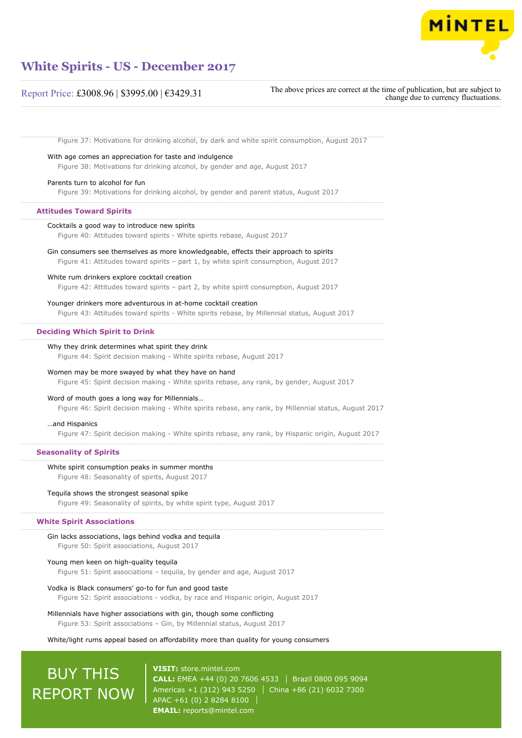

## Report Price: £3008.96 | \$3995.00 | €3429.31

The above prices are correct at the time of publication, but are subject to change due to currency fluctuations.

Figure 37: Motivations for drinking alcohol, by dark and white spirit consumption, August 2017

With age comes an appreciation for taste and indulgence

Figure 38: Motivations for drinking alcohol, by gender and age, August 2017

## Parents turn to alcohol for fun

Figure 39: Motivations for drinking alcohol, by gender and parent status, August 2017

#### **Attitudes Toward Spirits**

## Cocktails a good way to introduce new spirits

Figure 40: Attitudes toward spirits - White spirits rebase, August 2017

## Gin consumers see themselves as more knowledgeable, effects their approach to spirits

Figure 41: Attitudes toward spirits – part 1, by white spirit consumption, August 2017

### White rum drinkers explore cocktail creation

Figure 42: Attitudes toward spirits – part 2, by white spirit consumption, August 2017

## Younger drinkers more adventurous in at-home cocktail creation

Figure 43: Attitudes toward spirits - White spirits rebase, by Millennial status, August 2017

### **Deciding Which Spirit to Drink**

### Why they drink determines what spirit they drink

Figure 44: Spirit decision making - White spirits rebase, August 2017

## Women may be more swayed by what they have on hand

Figure 45: Spirit decision making - White spirits rebase, any rank, by gender, August 2017

### Word of mouth goes a long way for Millennials…

Figure 46: Spirit decision making - White spirits rebase, any rank, by Millennial status, August 2017

#### …and Hispanics

Figure 47: Spirit decision making - White spirits rebase, any rank, by Hispanic origin, August 2017

## **Seasonality of Spirits**

#### White spirit consumption peaks in summer months

Figure 48: Seasonality of spirits, August 2017

### Tequila shows the strongest seasonal spike

Figure 49: Seasonality of spirits, by white spirit type, August 2017

## **White Spirit Associations**

## Gin lacks associations, lags behind vodka and tequila

Figure 50: Spirit associations, August 2017

### Young men keen on high-quality tequila

Figure 51: Spirit associations – tequila, by gender and age, August 2017

#### Vodka is Black consumers' go-to for fun and good taste

Figure 52: Spirit associations - vodka, by race and Hispanic origin, August 2017

## Millennials have higher associations with gin, though some conflicting

Figure 53: Spirit associations – Gin, by Millennial status, August 2017

## White/light rums appeal based on affordability more than quality for young consumers

# BUY THIS REPORT NOW